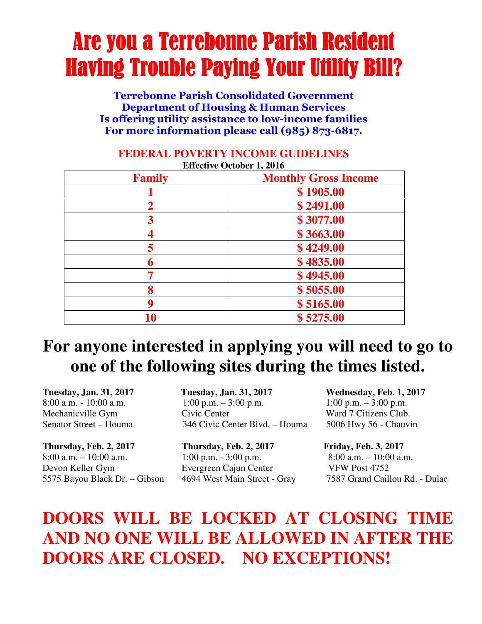# Are you a Terrebonne Parish Resident Having Trouble Paying Your Utility Bill?

Terrebonne Parish Consolidated Government Department of Housing & Human Services Is offering utility assistance to low-income families For more information please call (985) 873-6817.

| <b>Family</b> | <b>Monthly Gross Income</b> |
|---------------|-----------------------------|
|               | \$1905.00                   |
|               | \$2491.00                   |
|               | \$3077.00                   |
|               | \$3663.00                   |
|               | \$4249.00                   |
| 6             | \$4835.00                   |
|               | \$4945.00                   |
| 8             | \$5055.00                   |
| a             | \$5165.00                   |
| 10            | \$5275.00                   |

#### **FEDERAL POVERTY INCOME GUIDELINES Effective October 1, 2016**

## **For anyone interested in applying you will need to go to one of the following sites during the times listed.**

**Thursday, Feb. 2, 2017 Thursday, Feb. 2, 2017 Friday, Feb. 3, 2017**  8:00 a.m. – 10:00 a.m. 1:00 p.m. - 3:00 p.m.  $8:00$  a.m. – 10:00 a.m. Devon Keller Gym Evergreen Cajun Center VFW Post 4752

**Tuesday, Jan. 31, 2017 Tuesday, Jan. 31, 2017 Wednesday, Feb. 1, 2017** 8:00 a.m. - 10:00 a.m. 1:00 p.m. – 3:00 p.m. 1:00 p.m. – 3:00 p.m. Mechanicville Gym Civic Center Ward 7 Citizens Club. Senator Street – Houma 346 Civic Center Blvd. – Houma 5006 Hwy 56 - Chauvin

5575 Bayou Black Dr. – Gibson 4694 West Main Street - Gray 7587 Grand Caillou Rd. - Dulac

## **DOORS WILL BE LOCKED AT CLOSING TIME AND NO ONE WILL BE ALLOWED IN AFTER THE DOORS ARE CLOSED. NO EXCEPTIONS!**